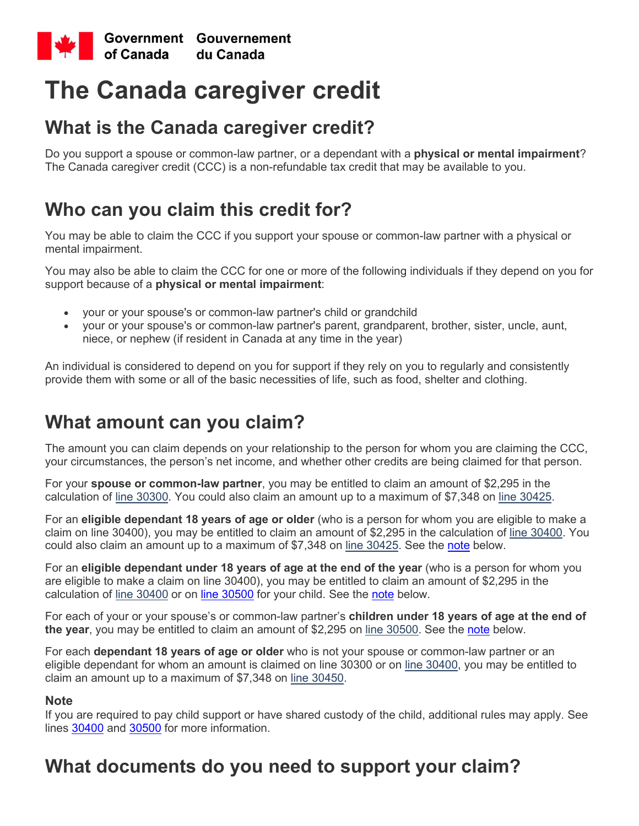

# **The Canada caregiver credit**

### **What is the Canada caregiver credit?**

Do you support a spouse or common-law partner, or a dependant with a **physical or mental impairment**? The Canada caregiver credit (CCC) is a non-refundable tax credit that may be available to you.

## **Who can you claim this credit for?**

You may be able to claim the CCC if you support your spouse or common-law partner with a physical or mental impairment.

You may also be able to claim the CCC for one or more of the following individuals if they depend on you for support because of a **physical or mental impairment**:

- your or your spouse's or common-law partner's child or grandchild
- your or your spouse's or common-law partner's parent, grandparent, brother, sister, uncle, aunt, niece, or nephew (if resident in Canada at any time in the year)

An individual is considered to depend on you for support if they rely on you to regularly and consistently provide them with some or all of the basic necessities of life, such as food, shelter and clothing.

# **What amount can you claim?**

The amount you can claim depends on your relationship to the person for whom you are claiming the CCC, your circumstances, the person's net income, and whether other credits are being claimed for that person.

For your **spouse or common-law partner**, you may be entitled to claim an amount of \$2,295 in the calculation of [line 30300.](https://www.canada.ca/en/revenue-agency/services/tax/individuals/topics/about-your-tax-return/tax-return/completing-a-tax-return/deductions-credits-expenses/line-30300-spouse-common-law-partner-amount.html) You could also claim an amount up to a maximum of \$7,348 on line [30425.](https://www.canada.ca/en/revenue-agency/services/tax/individuals/topics/about-your-tax-return/tax-return/completing-a-tax-return/deductions-credits-expenses/line-30425-caregiver-spouse-dependant.html)

For an **eligible dependant 18 years of age or older** (who is a person for whom you are eligible to make a claim on line 30400), you may be entitled to claim an amount of \$2,295 in the calculation of [line 30400.](https://www.canada.ca/en/revenue-agency/services/tax/individuals/topics/about-your-tax-return/tax-return/completing-a-tax-return/deductions-credits-expenses/line-30400-amount-eligible-dependant.html) You could also claim an amount up to a maximum of \$7,348 on [line 30425.](https://www.canada.ca/en/revenue-agency/services/tax/individuals/topics/about-your-tax-return/tax-return/completing-a-tax-return/deductions-credits-expenses/line-30425-caregiver-spouse-dependant.html) See the [note](https://www.canada.ca/en/revenue-agency/services/tax/individuals/topics/about-your-tax-return/tax-return/completing-a-tax-return/deductions-credits-expenses/canada-caregiver-amount.html#amount_note) below.

For an **eligible dependant under 18 years of age at the end of the year** (who is a person for whom you are eligible to make a claim on line 30400), you may be entitled to claim an amount of \$2,295 in the calculation of [line 30400](https://www.canada.ca/en/revenue-agency/services/tax/individuals/topics/about-your-tax-return/tax-return/completing-a-tax-return/deductions-credits-expenses/line-30400-amount-eligible-dependant.html) or on [line 30500](https://www.canada.ca/en/revenue-agency/services/tax/individuals/topics/about-your-tax-return/tax-return/completing-a-tax-return/deductions-credits-expenses/line-30499-30500-canada-caregiver-infirm-children-under-18-years.html) for your child. See the [note](https://www.canada.ca/en/revenue-agency/services/tax/individuals/topics/about-your-tax-return/tax-return/completing-a-tax-return/deductions-credits-expenses/canada-caregiver-amount.html#amount_note) below.

For each of your or your spouse's or common-law partner's **children under 18 years of age at the end of the year**, you may be entitled to claim an amount of \$2,295 on [line 30500.](https://www.canada.ca/en/revenue-agency/services/tax/individuals/topics/about-your-tax-return/tax-return/completing-a-tax-return/deductions-credits-expenses/line-30499-30500-canada-caregiver-infirm-children-under-18-years.html) See the [note](https://www.canada.ca/en/revenue-agency/services/tax/individuals/topics/about-your-tax-return/tax-return/completing-a-tax-return/deductions-credits-expenses/canada-caregiver-amount.html#amount_note) below.

For each **dependant 18 years of age or older** who is not your spouse or common-law partner or an eligible dependant for whom an amount is claimed on line 30300 or on [line 30400,](https://www.canada.ca/en/revenue-agency/services/tax/individuals/topics/about-your-tax-return/tax-return/completing-a-tax-return/deductions-credits-expenses/line-30400-amount-eligible-dependant.html) you may be entitled to claim an amount up to a maximum of \$7,348 on [line 30450.](https://www.canada.ca/en/revenue-agency/services/tax/individuals/topics/about-your-tax-return/tax-return/completing-a-tax-return/deductions-credits-expenses/line-30450-caregiver-infirm-dependant.html)

#### **Note**

If you are required to pay child support or have shared custody of the child, additional rules may apply. See lines [30400](https://www.canada.ca/en/revenue-agency/services/tax/individuals/topics/about-your-tax-return/tax-return/completing-a-tax-return/deductions-credits-expenses/line-305-amount-eligible-dependant.html) and [30500](https://www.canada.ca/en/revenue-agency/services/tax/individuals/topics/about-your-tax-return/tax-return/completing-a-tax-return/deductions-credits-expenses/line-352-367-canada-caregiver-infirm-children-under-18-years.html) for more information.

# **What documents do you need to support your claim?**